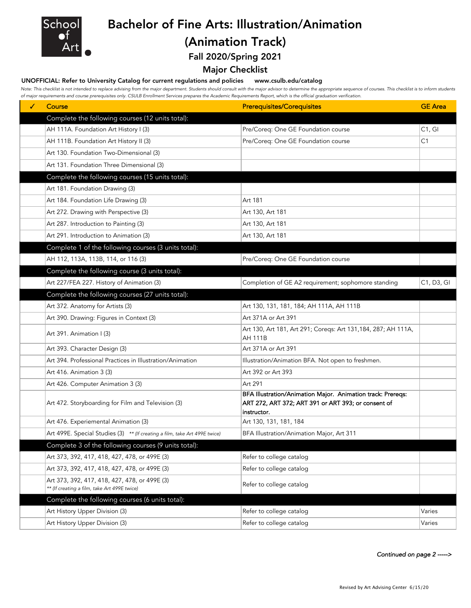

## Bachelor of Fine Arts: Illustration/Animation (Animation Track)

Fall 2020/Spring 2021

### Major Checklist

#### UNOFFICIAL: Refer to University Catalog for current regulations and policies www.csulb.edu/catalog

Note: This checklist is not intended to replace advising from the major department. Students should consult with the major advisor to determine the appropriate sequence of courses. This checklist is to inform students *of major requirements and course prerequisites only. CSULB Enrollment Services prepares the Academic Requirements Report, which is the official graduation verification.*

| ✓ | Course                                                                                        | <b>Prerequisites/Corequisites</b>                                                                                                 | <b>GE</b> Area |
|---|-----------------------------------------------------------------------------------------------|-----------------------------------------------------------------------------------------------------------------------------------|----------------|
|   | Complete the following courses (12 units total):                                              |                                                                                                                                   |                |
|   | AH 111A. Foundation Art History I (3)                                                         | Pre/Coreq: One GE Foundation course                                                                                               | C1, G1         |
|   | AH 111B. Foundation Art History II (3)                                                        | Pre/Coreq: One GE Foundation course                                                                                               | C <sub>1</sub> |
|   | Art 130. Foundation Two-Dimensional (3)                                                       |                                                                                                                                   |                |
|   | Art 131. Foundation Three Dimensional (3)                                                     |                                                                                                                                   |                |
|   | Complete the following courses (15 units total):                                              |                                                                                                                                   |                |
|   | Art 181. Foundation Drawing (3)                                                               |                                                                                                                                   |                |
|   | Art 184. Foundation Life Drawing (3)                                                          | Art 181                                                                                                                           |                |
|   | Art 272. Drawing with Perspective (3)                                                         | Art 130, Art 181                                                                                                                  |                |
|   | Art 287. Introduction to Painting (3)                                                         | Art 130, Art 181                                                                                                                  |                |
|   | Art 291. Introduction to Animation (3)                                                        | Art 130, Art 181                                                                                                                  |                |
|   | Complete 1 of the following courses (3 units total):                                          |                                                                                                                                   |                |
|   | AH 112, 113A, 113B, 114, or 116 (3)                                                           | Pre/Coreq: One GE Foundation course                                                                                               |                |
|   | Complete the following course (3 units total):                                                |                                                                                                                                   |                |
|   | Art 227/FEA 227. History of Animation (3)                                                     | Completion of GE A2 requirement; sophomore standing                                                                               | C1, D3, GI     |
|   | Complete the following courses (27 units total):                                              |                                                                                                                                   |                |
|   | Art 372. Anatomy for Artists (3)                                                              | Art 130, 131, 181, 184; AH 111A, AH 111B                                                                                          |                |
|   | Art 390. Drawing: Figures in Context (3)                                                      | Art 371A or Art 391                                                                                                               |                |
|   | Art 391. Animation I (3)                                                                      | Art 130, Art 181, Art 291; Coreqs: Art 131, 184, 287; AH 111A,<br><b>AH 111B</b>                                                  |                |
|   | Art 393. Character Design (3)                                                                 | Art 371A or Art 391                                                                                                               |                |
|   | Art 394. Professional Practices in Illustration/Animation                                     | Illustration/Animation BFA. Not open to freshmen.                                                                                 |                |
|   | Art 416. Animation 3 (3)                                                                      | Art 392 or Art 393                                                                                                                |                |
|   | Art 426. Computer Animation 3 (3)                                                             | Art 291                                                                                                                           |                |
|   | Art 472. Storyboarding for Film and Television (3)                                            | BFA Illustration/Animation Major. Animation track: Prereqs:<br>ART 272, ART 372; ART 391 or ART 393; or consent of<br>instructor. |                |
|   | Art 476. Experiemental Animation (3)                                                          | Art 130, 131, 181, 184                                                                                                            |                |
|   | Art 499E. Special Studies (3) ** (If creating a film, take Art 499E twice)                    | BFA Illustration/Animation Major, Art 311                                                                                         |                |
|   | Complete 3 of the following courses (9 units total):                                          |                                                                                                                                   |                |
|   | Art 373, 392, 417, 418, 427, 478, or 499E (3)                                                 | Refer to college catalog                                                                                                          |                |
|   | Art 373, 392, 417, 418, 427, 478, or 499E (3)                                                 | Refer to college catalog                                                                                                          |                |
|   | Art 373, 392, 417, 418, 427, 478, or 499E (3)<br>** (If creating a film, take Art 499E twice) | Refer to college catalog                                                                                                          |                |
|   | Complete the following courses (6 units total):                                               |                                                                                                                                   |                |
|   | Art History Upper Division (3)                                                                | Refer to college catalog                                                                                                          | Varies         |
|   | Art History Upper Division (3)                                                                | Refer to college catalog                                                                                                          | Varies         |